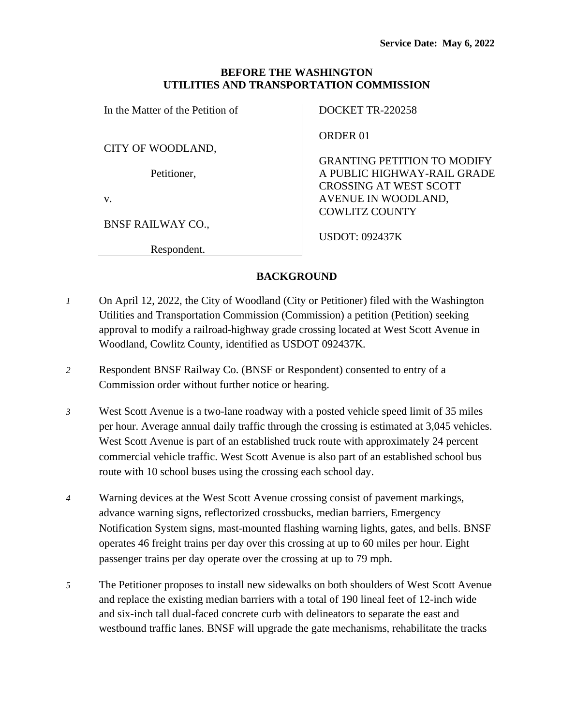### **BEFORE THE WASHINGTON UTILITIES AND TRANSPORTATION COMMISSION**

In the Matter of the Petition of

CITY OF WOODLAND,

Petitioner,

v.

BNSF RAILWAY CO.,

Respondent.

DOCKET TR-220258

ORDER 01

GRANTING PETITION TO MODIFY A PUBLIC HIGHWAY-RAIL GRADE CROSSING AT WEST SCOTT AVENUE IN WOODLAND, COWLITZ COUNTY

USDOT: 092437K

### **BACKGROUND**

- *1* On April 12, 2022, the City of Woodland (City or Petitioner) filed with the Washington Utilities and Transportation Commission (Commission) a petition (Petition) seeking approval to modify a railroad-highway grade crossing located at West Scott Avenue in Woodland, Cowlitz County, identified as USDOT 092437K.
- *2* Respondent BNSF Railway Co. (BNSF or Respondent) consented to entry of a Commission order without further notice or hearing.
- *3* West Scott Avenue is a two-lane roadway with a posted vehicle speed limit of 35 miles per hour. Average annual daily traffic through the crossing is estimated at 3,045 vehicles. West Scott Avenue is part of an established truck route with approximately 24 percent commercial vehicle traffic. West Scott Avenue is also part of an established school bus route with 10 school buses using the crossing each school day.
- *4* Warning devices at the West Scott Avenue crossing consist of pavement markings, advance warning signs, reflectorized crossbucks, median barriers, Emergency Notification System signs, mast-mounted flashing warning lights, gates, and bells. BNSF operates 46 freight trains per day over this crossing at up to 60 miles per hour. Eight passenger trains per day operate over the crossing at up to 79 mph.
- *5* The Petitioner proposes to install new sidewalks on both shoulders of West Scott Avenue and replace the existing median barriers with a total of 190 lineal feet of 12-inch wide and six-inch tall dual-faced concrete curb with delineators to separate the east and westbound traffic lanes. BNSF will upgrade the gate mechanisms, rehabilitate the tracks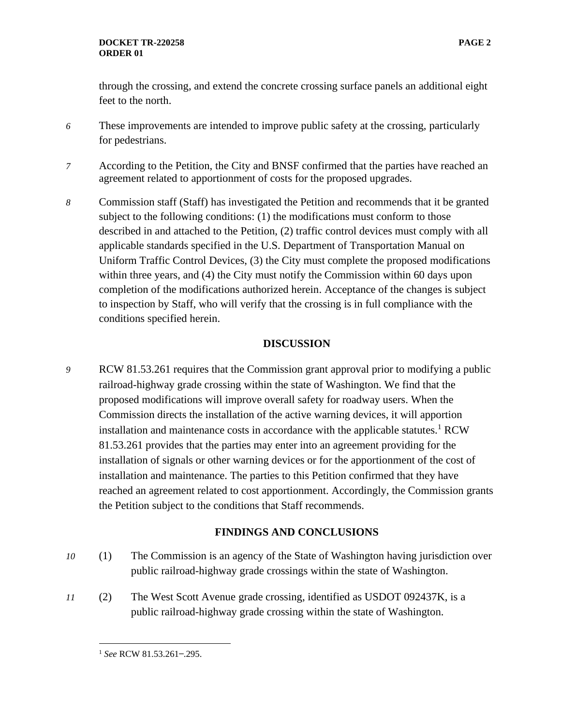through the crossing, and extend the concrete crossing surface panels an additional eight feet to the north.

- *6* These improvements are intended to improve public safety at the crossing, particularly for pedestrians.
- *7* According to the Petition, the City and BNSF confirmed that the parties have reached an agreement related to apportionment of costs for the proposed upgrades.
- *8* Commission staff (Staff) has investigated the Petition and recommends that it be granted subject to the following conditions: (1) the modifications must conform to those described in and attached to the Petition, (2) traffic control devices must comply with all applicable standards specified in the U.S. Department of Transportation Manual on Uniform Traffic Control Devices, (3) the City must complete the proposed modifications within three years, and (4) the City must notify the Commission within 60 days upon completion of the modifications authorized herein. Acceptance of the changes is subject to inspection by Staff, who will verify that the crossing is in full compliance with the conditions specified herein.

### **DISCUSSION**

*9* RCW 81.53.261 requires that the Commission grant approval prior to modifying a public railroad-highway grade crossing within the state of Washington. We find that the proposed modifications will improve overall safety for roadway users. When the Commission directs the installation of the active warning devices, it will apportion installation and maintenance costs in accordance with the applicable statutes.<sup>1</sup> RCW 81.53.261 provides that the parties may enter into an agreement providing for the installation of signals or other warning devices or for the apportionment of the cost of installation and maintenance. The parties to this Petition confirmed that they have reached an agreement related to cost apportionment. Accordingly, the Commission grants the Petition subject to the conditions that Staff recommends.

# **FINDINGS AND CONCLUSIONS**

- *10* (1) The Commission is an agency of the State of Washington having jurisdiction over public railroad-highway grade crossings within the state of Washington.
- *11* (2) The West Scott Avenue grade crossing, identified as USDOT 092437K, is a public railroad-highway grade crossing within the state of Washington.

<sup>&</sup>lt;sup>1</sup> See RCW 81.53.261-.295.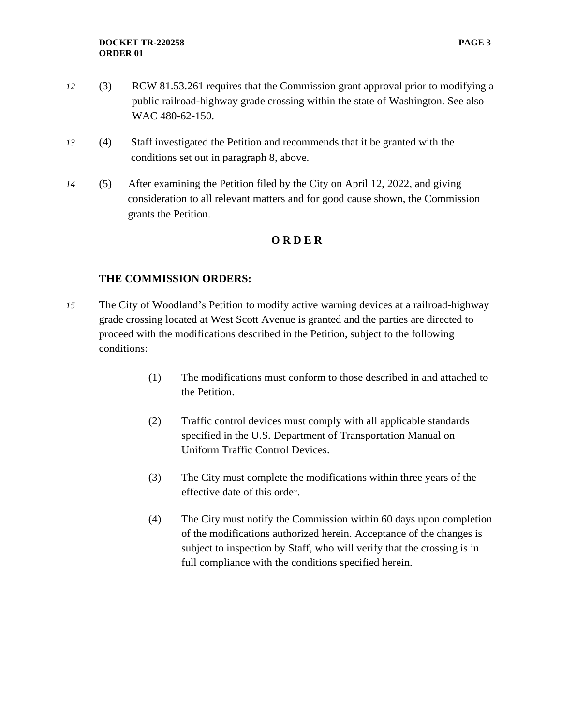- *12* (3) RCW 81.53.261 requires that the Commission grant approval prior to modifying a public railroad-highway grade crossing within the state of Washington. See also WAC 480-62-150.
- *13* (4) Staff investigated the Petition and recommends that it be granted with the conditions set out in paragraph 8, above.
- *14* (5) After examining the Petition filed by the City on April 12, 2022, and giving consideration to all relevant matters and for good cause shown, the Commission grants the Petition.

### **O R D E R**

### **THE COMMISSION ORDERS:**

- *15* The City of Woodland's Petition to modify active warning devices at a railroad-highway grade crossing located at West Scott Avenue is granted and the parties are directed to proceed with the modifications described in the Petition, subject to the following conditions:
	- (1) The modifications must conform to those described in and attached to the Petition.
	- (2) Traffic control devices must comply with all applicable standards specified in the U.S. Department of Transportation Manual on Uniform Traffic Control Devices.
	- (3) The City must complete the modifications within three years of the effective date of this order.
	- (4) The City must notify the Commission within 60 days upon completion of the modifications authorized herein. Acceptance of the changes is subject to inspection by Staff, who will verify that the crossing is in full compliance with the conditions specified herein.